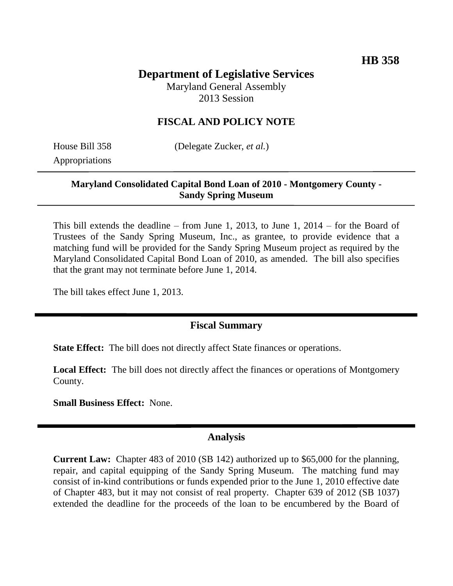# **Department of Legislative Services**

Maryland General Assembly 2013 Session

### **FISCAL AND POLICY NOTE**

Appropriations

House Bill 358 (Delegate Zucker, *et al.*)

#### **Maryland Consolidated Capital Bond Loan of 2010 - Montgomery County - Sandy Spring Museum**

This bill extends the deadline – from June 1, 2013, to June 1, 2014 – for the Board of Trustees of the Sandy Spring Museum, Inc., as grantee, to provide evidence that a matching fund will be provided for the Sandy Spring Museum project as required by the Maryland Consolidated Capital Bond Loan of 2010, as amended. The bill also specifies that the grant may not terminate before June 1, 2014.

The bill takes effect June 1, 2013.

### **Fiscal Summary**

**State Effect:** The bill does not directly affect State finances or operations.

**Local Effect:** The bill does not directly affect the finances or operations of Montgomery County.

**Small Business Effect:** None.

#### **Analysis**

**Current Law:** Chapter 483 of 2010 (SB 142) authorized up to \$65,000 for the planning, repair, and capital equipping of the Sandy Spring Museum. The matching fund may consist of in-kind contributions or funds expended prior to the June 1, 2010 effective date of Chapter 483, but it may not consist of real property. Chapter 639 of 2012 (SB 1037) extended the deadline for the proceeds of the loan to be encumbered by the Board of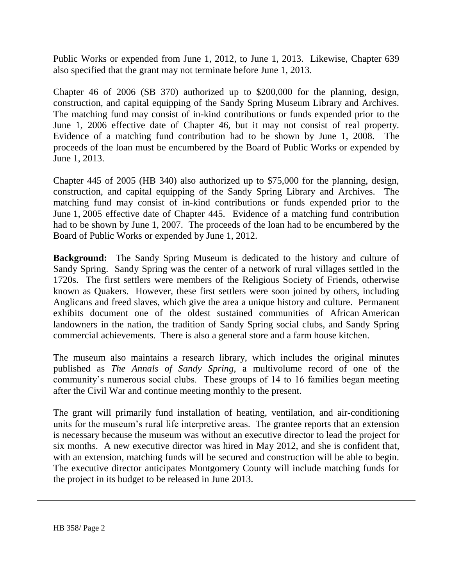Public Works or expended from June 1, 2012, to June 1, 2013. Likewise, Chapter 639 also specified that the grant may not terminate before June 1, 2013.

Chapter 46 of 2006 (SB 370) authorized up to \$200,000 for the planning, design, construction, and capital equipping of the Sandy Spring Museum Library and Archives. The matching fund may consist of in-kind contributions or funds expended prior to the June 1, 2006 effective date of Chapter 46, but it may not consist of real property. Evidence of a matching fund contribution had to be shown by June 1, 2008. The proceeds of the loan must be encumbered by the Board of Public Works or expended by June 1, 2013.

Chapter 445 of 2005 (HB 340) also authorized up to \$75,000 for the planning, design, construction, and capital equipping of the Sandy Spring Library and Archives. The matching fund may consist of in-kind contributions or funds expended prior to the June 1, 2005 effective date of Chapter 445. Evidence of a matching fund contribution had to be shown by June 1, 2007. The proceeds of the loan had to be encumbered by the Board of Public Works or expended by June 1, 2012.

**Background:** The Sandy Spring Museum is dedicated to the history and culture of Sandy Spring. Sandy Spring was the center of a network of rural villages settled in the 1720s. The first settlers were members of the Religious Society of Friends, otherwise known as Quakers. However, these first settlers were soon joined by others, including Anglicans and freed slaves, which give the area a unique history and culture. Permanent exhibits document one of the oldest sustained communities of African American landowners in the nation, the tradition of Sandy Spring social clubs, and Sandy Spring commercial achievements. There is also a general store and a farm house kitchen.

The museum also maintains a research library, which includes the original minutes published as *The Annals of Sandy Spring*, a multivolume record of one of the community's numerous social clubs. These groups of 14 to 16 families began meeting after the Civil War and continue meeting monthly to the present.

The grant will primarily fund installation of heating, ventilation, and air-conditioning units for the museum's rural life interpretive areas. The grantee reports that an extension is necessary because the museum was without an executive director to lead the project for six months. A new executive director was hired in May 2012, and she is confident that, with an extension, matching funds will be secured and construction will be able to begin. The executive director anticipates Montgomery County will include matching funds for the project in its budget to be released in June 2013.